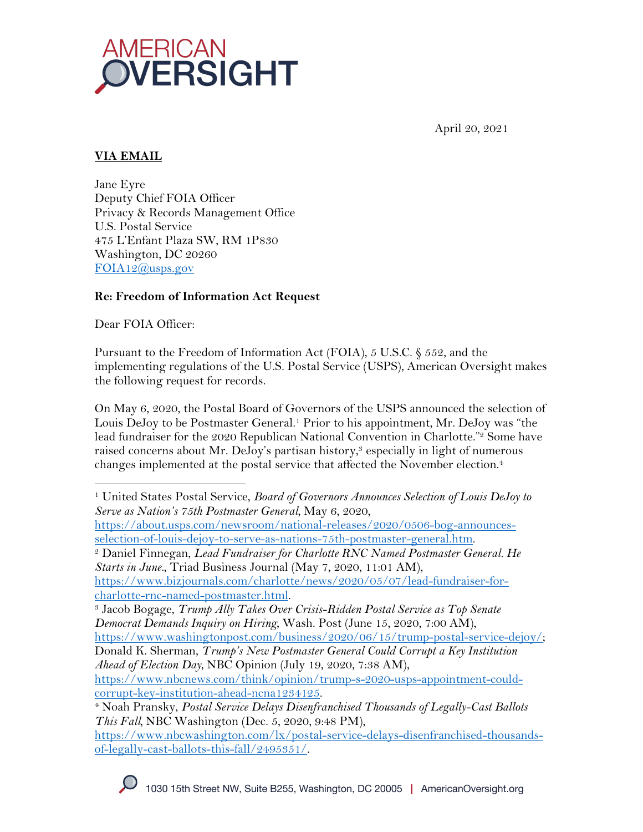

April 20, 2021

# **VIA EMAIL**

Jane Eyre Deputy Chief FOIA Officer Privacy & Records Management Office U.S. Postal Service 475 L'Enfant Plaza SW, RM 1P830 Washington, DC 20260 FOIA12@usps.gov

#### **Re: Freedom of Information Act Request**

Dear FOIA Officer:

Pursuant to the Freedom of Information Act (FOIA), 5 U.S.C. § 552, and the implementing regulations of the U.S. Postal Service (USPS), American Oversight makes the following request for records.

On May 6, 2020, the Postal Board of Governors of the USPS announced the selection of Louis DeJoy to be Postmaster General.1 Prior to his appointment, Mr. DeJoy was "the lead fundraiser for the 2020 Republican National Convention in Charlotte."<sup>2</sup> Some have raised concerns about Mr. DeJoy's partisan history,<sup>3</sup> especially in light of numerous changes implemented at the postal service that affected the November election. 4

<sup>1</sup> United States Postal Service, *Board of Governors Announces Selection of Louis DeJoy to Serve as Nation's 75th Postmaster General*, May 6, 2020, https://about.usps.com/newsroom/national-releases/2020/0506-bog-announces-

selection-of-louis-dejoy-to-serve-as-nations-75th-postmaster-general.htm.

<sup>2</sup> Daniel Finnegan, *Lead Fundraiser for Charlotte RNC Named Postmaster General. He Starts in June.*, Triad Business Journal (May 7, 2020, 11:01 AM),

https://www.bizjournals.com/charlotte/news/2020/05/07/lead-fundraiser-forcharlotte-rnc-named-postmaster.html.

Donald K. Sherman, *Trump's New Postmaster General Could Corrupt a Key Institution Ahead of Election Day*, NBC Opinion (July 19, 2020, 7:38 AM),

https://www.nbcnews.com/think/opinion/trump-s-2020-usps-appointment-couldcorrupt-key-institution-ahead-ncna1234125.

<sup>3</sup> Jacob Bogage, *Trump Ally Takes Over Crisis-Ridden Postal Service as Top Senate Democrat Demands Inquiry on Hiring*, Wash. Post (June 15, 2020, 7:00 AM), https://www.washingtonpost.com/business/2020/06/15/trump-postal-service-dejoy/;

<sup>4</sup> Noah Pransky, *Postal Service Delays Disenfranchised Thousands of Legally-Cast Ballots This Fall,* NBC Washington (Dec. 5, 2020, 9:48 PM),

https://www.nbcwashington.com/lx/postal-service-delays-disenfranchised-thousandsof-legally-cast-ballots-this-fall/2495351/.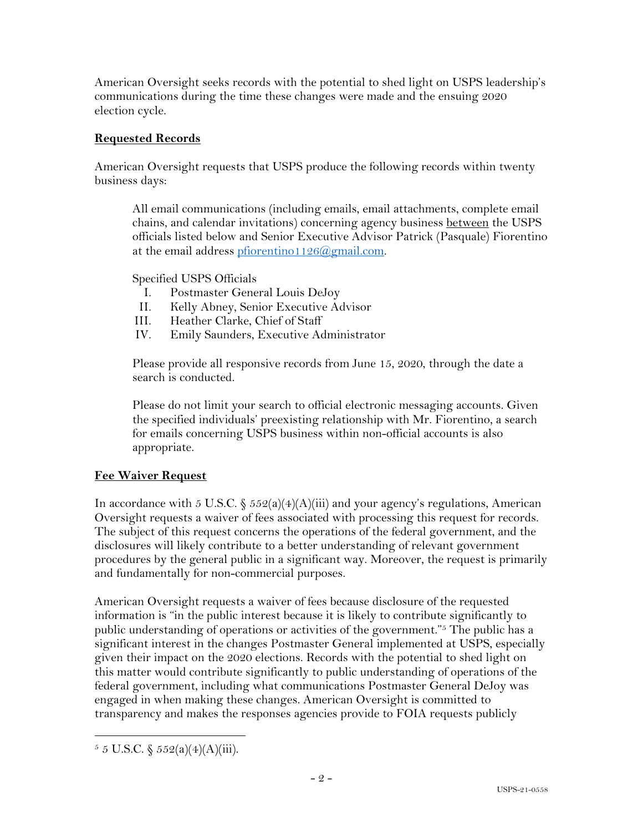American Oversight seeks records with the potential to shed light on USPS leadership's communications during the time these changes were made and the ensuing 2020 election cycle.

### **Requested Records**

American Oversight requests that USPS produce the following records within twenty business days:

All email communications (including emails, email attachments, complete email chains, and calendar invitations) concerning agency business between the USPS officials listed below and Senior Executive Advisor Patrick (Pasquale) Fiorentino at the email address pfiorentino1126@gmail.com.

Specified USPS Officials

- I. Postmaster General Louis DeJoy
- II. Kelly Abney, Senior Executive Advisor
- III. Heather Clarke, Chief of Staff
- IV. Emily Saunders, Executive Administrator

Please provide all responsive records from June 15, 2020, through the date a search is conducted.

Please do not limit your search to official electronic messaging accounts. Given the specified individuals' preexisting relationship with Mr. Fiorentino, a search for emails concerning USPS business within non-official accounts is also appropriate.

# **Fee Waiver Request**

In accordance with 5 U.S.C.  $\frac{2552(a)(4)(A)(iii)}{2}$  and your agency's regulations, American Oversight requests a waiver of fees associated with processing this request for records. The subject of this request concerns the operations of the federal government, and the disclosures will likely contribute to a better understanding of relevant government procedures by the general public in a significant way. Moreover, the request is primarily and fundamentally for non-commercial purposes.

American Oversight requests a waiver of fees because disclosure of the requested information is "in the public interest because it is likely to contribute significantly to public understanding of operations or activities of the government."5 The public has a significant interest in the changes Postmaster General implemented at USPS, especially given their impact on the 2020 elections. Records with the potential to shed light on this matter would contribute significantly to public understanding of operations of the federal government, including what communications Postmaster General DeJoy was engaged in when making these changes. American Oversight is committed to transparency and makes the responses agencies provide to FOIA requests publicly

 $5 \text{ J.S.C.} \$   $552(a)(4)(A)(iii)$ .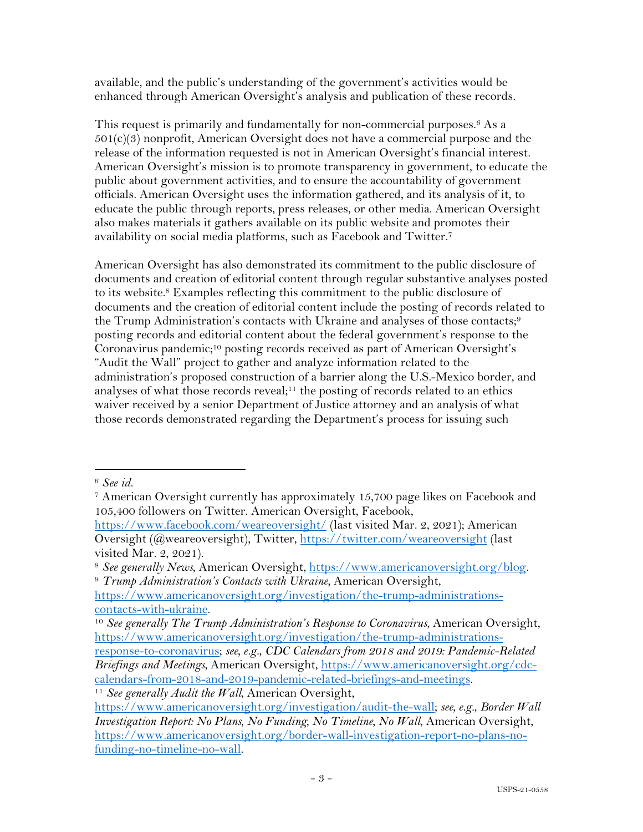available, and the public's understanding of the government's activities would be enhanced through American Oversight's analysis and publication of these records.

This request is primarily and fundamentally for non-commercial purposes.<sup>6</sup> As a  $501(c)(3)$  nonprofit, American Oversight does not have a commercial purpose and the release of the information requested is not in American Oversight's financial interest. American Oversight's mission is to promote transparency in government, to educate the public about government activities, and to ensure the accountability of government officials. American Oversight uses the information gathered, and its analysis of it, to educate the public through reports, press releases, or other media. American Oversight also makes materials it gathers available on its public website and promotes their availability on social media platforms, such as Facebook and Twitter.7

American Oversight has also demonstrated its commitment to the public disclosure of documents and creation of editorial content through regular substantive analyses posted to its website.8 Examples reflecting this commitment to the public disclosure of documents and the creation of editorial content include the posting of records related to the Trump Administration's contacts with Ukraine and analyses of those contacts;<sup>9</sup> posting records and editorial content about the federal government's response to the Coronavirus pandemic;<sup>10</sup> posting records received as part of American Oversight's "Audit the Wall" project to gather and analyze information related to the administration's proposed construction of a barrier along the U.S.-Mexico border, and analyses of what those records reveal;<sup>11</sup> the posting of records related to an ethics waiver received by a senior Department of Justice attorney and an analysis of what those records demonstrated regarding the Department's process for issuing such

<sup>6</sup> *See id.*

<sup>7</sup> American Oversight currently has approximately 15,700 page likes on Facebook and 105,400 followers on Twitter. American Oversight, Facebook,

https://www.facebook.com/weareoversight/ (last visited Mar. 2, 2021); American Oversight (@weareoversight), Twitter, https://twitter.com/weareoversight (last visited Mar. 2, 2021).

<sup>&</sup>lt;sup>8</sup> See generally News, American Oversight, https://www.americanoversight.org/blog.<br><sup>9</sup> *Trump Administration's Contacts with Ukraine*, American Oversight,

https://www.americanoversight.org/investigation/the-trump-administrationscontacts-with-ukraine.

<sup>10</sup> *See generally The Trump Administration's Response to Coronavirus*, American Oversight, https://www.americanoversight.org/investigation/the-trump-administrations-

response-to-coronavirus; *see, e.g.*, *CDC Calendars from 2018 and 2019: Pandemic-Related Briefings and Meetings*, American Oversight, https://www.americanoversight.org/cdccalendars-from-2018-and-2019-pandemic-related-briefings-and-meetings.

<sup>11</sup> *See generally Audit the Wall*, American Oversight,

https://www.americanoversight.org/investigation/audit-the-wall; *see, e.g.*, *Border Wall Investigation Report: No Plans, No Funding, No Timeline, No Wall, American Oversight,* https://www.americanoversight.org/border-wall-investigation-report-no-plans-nofunding-no-timeline-no-wall.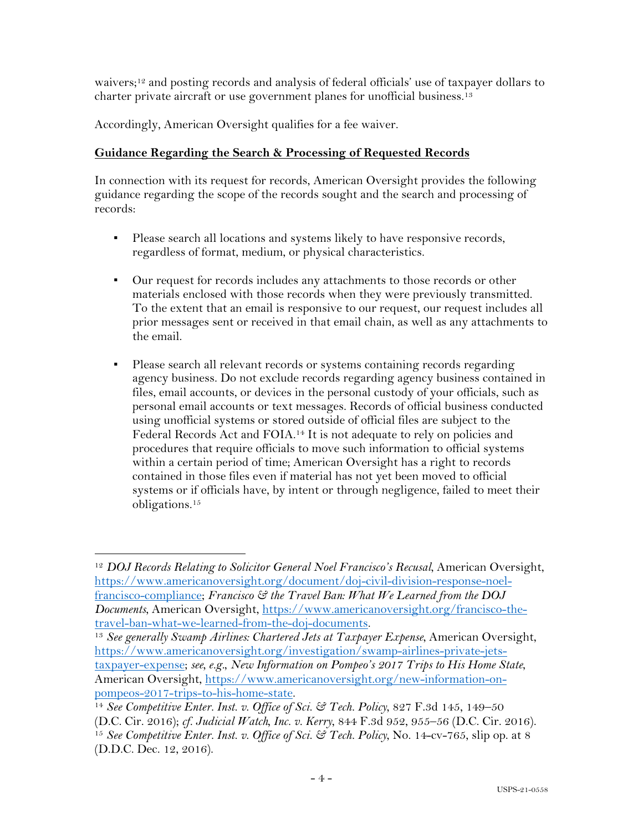waivers;12 and posting records and analysis of federal officials' use of taxpayer dollars to charter private aircraft or use government planes for unofficial business. 13

Accordingly, American Oversight qualifies for a fee waiver.

### **Guidance Regarding the Search & Processing of Requested Records**

In connection with its request for records, American Oversight provides the following guidance regarding the scope of the records sought and the search and processing of records:

- Please search all locations and systems likely to have responsive records, regardless of format, medium, or physical characteristics.
- Our request for records includes any attachments to those records or other materials enclosed with those records when they were previously transmitted. To the extent that an email is responsive to our request, our request includes all prior messages sent or received in that email chain, as well as any attachments to the email.
- Please search all relevant records or systems containing records regarding agency business. Do not exclude records regarding agency business contained in files, email accounts, or devices in the personal custody of your officials, such as personal email accounts or text messages. Records of official business conducted using unofficial systems or stored outside of official files are subject to the Federal Records Act and FOIA.14 It is not adequate to rely on policies and procedures that require officials to move such information to official systems within a certain period of time; American Oversight has a right to records contained in those files even if material has not yet been moved to official systems or if officials have, by intent or through negligence, failed to meet their obligations.15

<sup>12</sup> *DOJ Records Relating to Solicitor General Noel Francisco's Recusal*, American Oversight, https://www.americanoversight.org/document/doj-civil-division-response-noelfrancisco-compliance; *Francisco & the Travel Ban: What We Learned from the DOJ Documents*, American Oversight, https://www.americanoversight.org/francisco-thetravel-ban-what-we-learned-from-the-doj-documents.

<sup>13</sup> *See generally Swamp Airlines: Chartered Jets at Taxpayer Expense*, American Oversight, https://www.americanoversight.org/investigation/swamp-airlines-private-jetstaxpayer-expense; *see, e.g.*, *New Information on Pompeo's 2017 Trips to His Home State*, American Oversight, https://www.americanoversight.org/new-information-onpompeos-2017-trips-to-his-home-state.

<sup>14</sup> *See Competitive Enter. Inst. v. Office of Sci. & Tech. Policy*, 827 F.3d 145, 149–50

<sup>(</sup>D.C. Cir. 2016); *cf. Judicial Watch, Inc. v. Kerry*, 844 F.3d 952, 955–56 (D.C. Cir. 2016). <sup>15</sup> *See Competitive Enter. Inst. v. Office of Sci. & Tech. Policy*, No. 14-cv-765, slip op. at 8 (D.D.C. Dec. 12, 2016).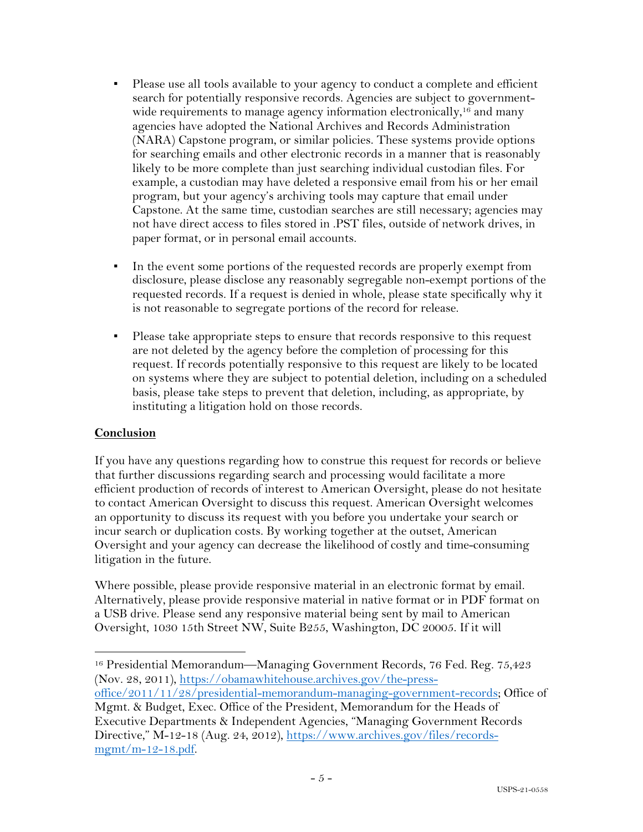- Please use all tools available to your agency to conduct a complete and efficient search for potentially responsive records. Agencies are subject to governmentwide requirements to manage agency information electronically,<sup>16</sup> and many agencies have adopted the National Archives and Records Administration (NARA) Capstone program, or similar policies. These systems provide options for searching emails and other electronic records in a manner that is reasonably likely to be more complete than just searching individual custodian files. For example, a custodian may have deleted a responsive email from his or her email program, but your agency's archiving tools may capture that email under Capstone. At the same time, custodian searches are still necessary; agencies may not have direct access to files stored in .PST files, outside of network drives, in paper format, or in personal email accounts.
- In the event some portions of the requested records are properly exempt from disclosure, please disclose any reasonably segregable non-exempt portions of the requested records. If a request is denied in whole, please state specifically why it is not reasonable to segregate portions of the record for release.
- Please take appropriate steps to ensure that records responsive to this request are not deleted by the agency before the completion of processing for this request. If records potentially responsive to this request are likely to be located on systems where they are subject to potential deletion, including on a scheduled basis, please take steps to prevent that deletion, including, as appropriate, by instituting a litigation hold on those records.

#### **Conclusion**

If you have any questions regarding how to construe this request for records or believe that further discussions regarding search and processing would facilitate a more efficient production of records of interest to American Oversight, please do not hesitate to contact American Oversight to discuss this request. American Oversight welcomes an opportunity to discuss its request with you before you undertake your search or incur search or duplication costs. By working together at the outset, American Oversight and your agency can decrease the likelihood of costly and time-consuming litigation in the future.

Where possible, please provide responsive material in an electronic format by email. Alternatively, please provide responsive material in native format or in PDF format on a USB drive. Please send any responsive material being sent by mail to American Oversight, 1030 15th Street NW, Suite B255, Washington, DC 20005. If it will

<sup>16</sup> Presidential Memorandum—Managing Government Records, 76 Fed. Reg. 75,423 (Nov. 28, 2011), https://obamawhitehouse.archives.gov/the-press-

office/2011/11/28/presidential-memorandum-managing-government-records; Office of Mgmt. & Budget, Exec. Office of the President, Memorandum for the Heads of Executive Departments & Independent Agencies, "Managing Government Records

Directive," M-12-18 (Aug. 24, 2012), https://www.archives.gov/files/recordsmgmt/m-12-18.pdf.